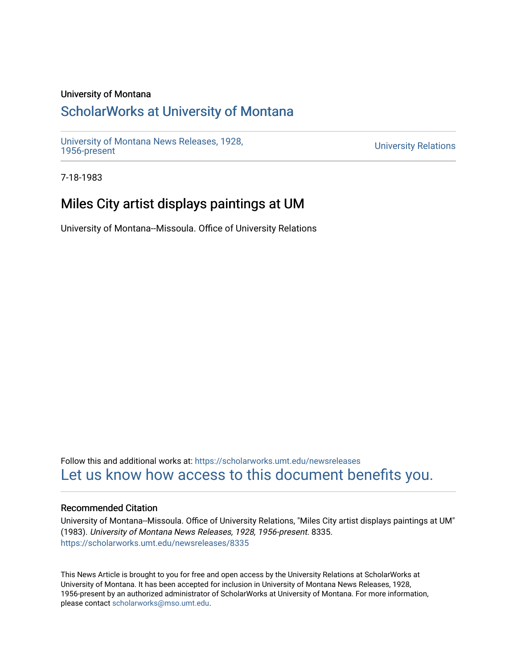### University of Montana

## [ScholarWorks at University of Montana](https://scholarworks.umt.edu/)

[University of Montana News Releases, 1928,](https://scholarworks.umt.edu/newsreleases) 

**University Relations** 

7-18-1983

# Miles City artist displays paintings at UM

University of Montana--Missoula. Office of University Relations

Follow this and additional works at: [https://scholarworks.umt.edu/newsreleases](https://scholarworks.umt.edu/newsreleases?utm_source=scholarworks.umt.edu%2Fnewsreleases%2F8335&utm_medium=PDF&utm_campaign=PDFCoverPages) [Let us know how access to this document benefits you.](https://goo.gl/forms/s2rGfXOLzz71qgsB2) 

### Recommended Citation

University of Montana--Missoula. Office of University Relations, "Miles City artist displays paintings at UM" (1983). University of Montana News Releases, 1928, 1956-present. 8335. [https://scholarworks.umt.edu/newsreleases/8335](https://scholarworks.umt.edu/newsreleases/8335?utm_source=scholarworks.umt.edu%2Fnewsreleases%2F8335&utm_medium=PDF&utm_campaign=PDFCoverPages) 

This News Article is brought to you for free and open access by the University Relations at ScholarWorks at University of Montana. It has been accepted for inclusion in University of Montana News Releases, 1928, 1956-present by an authorized administrator of ScholarWorks at University of Montana. For more information, please contact [scholarworks@mso.umt.edu.](mailto:scholarworks@mso.umt.edu)